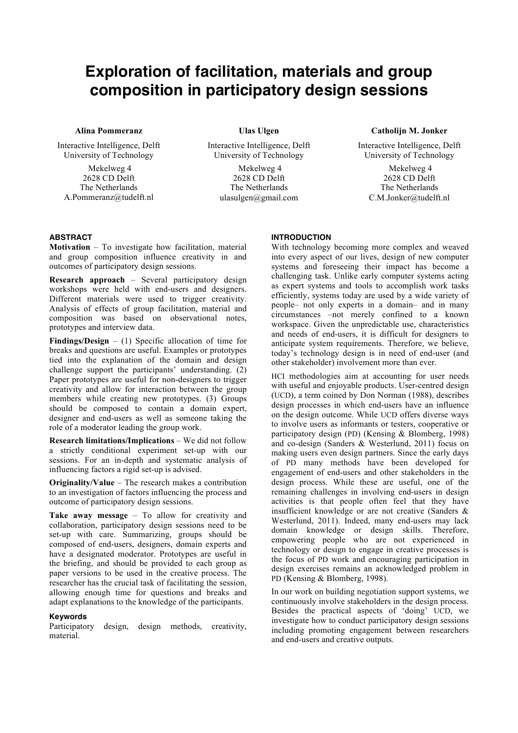# **Exploration of facilitation, materials and group composition in participatory design sessions**

## **Alina Pommeranz**

Interactive Intelligence, Delft University of Technology

Mekelweg 4 2628 CD Delft The Netherlands A.Pommeranz@tudelft.nl **Ulas Ulgen**

Interactive Intelligence, Delft University of Technology

Mekelweg 4 2628 CD Delft The Netherlands ulasulgen@gmail.com

## **Catholijn M. Jonker**

Interactive Intelligence, Delft University of Technology

Mekelweg 4 2628 CD Delft The Netherlands C.M.Jonker@tudelft.nl

# **ABSTRACT**

**Motivation** – To investigate how facilitation, material and group composition influence creativity in and outcomes of participatory design sessions.

**Research approach** – Several participatory design workshops were held with end-users and designers. Different materials were used to trigger creativity. Analysis of effects of group facilitation, material and composition was based on observational notes, prototypes and interview data.

**Findings/Design** – (1) Specific allocation of time for breaks and questions are useful. Examples or prototypes tied into the explanation of the domain and design challenge support the participants' understanding. (2) Paper prototypes are useful for non-designers to trigger creativity and allow for interaction between the group members while creating new prototypes. (3) Groups should be composed to contain a domain expert, designer and end-users as well as someone taking the role of a moderator leading the group work.

**Research limitations/Implications** – We did not follow a strictly conditional experiment set-up with our sessions. For an in-depth and systematic analysis of influencing factors a rigid set-up is advised.

**Originality/Value** – The research makes a contribution to an investigation of factors influencing the process and outcome of participatory design sessions.

**Take away message** – To allow for creativity and collaboration, participatory design sessions need to be set-up with care. Summarizing, groups should be composed of end-users, designers, domain experts and have a designated moderator. Prototypes are useful in the briefing, and should be provided to each group as paper versions to be used in the creative process. The researcher has the crucial task of facilitating the session, allowing enough time for questions and breaks and adapt explanations to the knowledge of the participants.

# **Keywords**

Participatory design, design methods, creativity, material.

### **INTRODUCTION**

With technology becoming more complex and weaved into every aspect of our lives, design of new computer systems and foreseeing their impact has become a challenging task. Unlike early computer systems acting as expert systems and tools to accomplish work tasks efficiently, systems today are used by a wide variety of people– not only experts in a domain– and in many circumstances –not merely confined to a known workspace. Given the unpredictable use, characteristics and needs of end-users, it is difficult for designers to anticipate system requirements. Therefore, we believe, today's technology design is in need of end-user (and other stakeholder) involvement more than ever.

HCI methodologies aim at accounting for user needs with useful and enjoyable products. User-centred design (UCD), a term coined by Don Norman (1988), describes design processes in which end-users have an influence on the design outcome. While UCD offers diverse ways to involve users as informants or testers, cooperative or participatory design (PD) (Kensing & Blomberg, 1998) and co-design (Sanders & Westerlund, 2011) focus on making users even design partners. Since the early days of PD many methods have been developed for engagement of end-users and other stakeholders in the design process. While these are useful, one of the remaining challenges in involving end-users in design activities is that people often feel that they have insufficient knowledge or are not creative (Sanders & Westerlund, 2011). Indeed, many end-users may lack domain knowledge or design skills. Therefore, empowering people who are not experienced in technology or design to engage in creative processes is the focus of PD work and encouraging participation in design exercises remains an acknowledged problem in PD (Kensing & Blomberg, 1998).

In our work on building negotiation support systems, we continuously involve stakeholders in the design process. Besides the practical aspects of 'doing' UCD, we investigate how to conduct participatory design sessions including promoting engagement between researchers and end-users and creative outputs.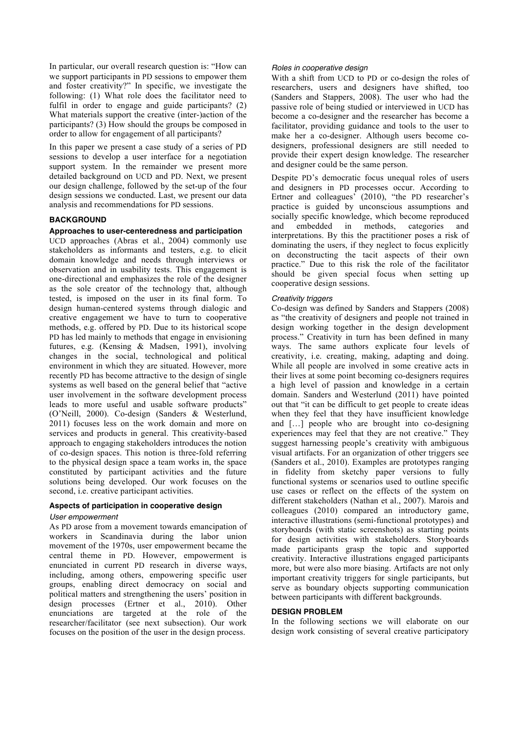In particular, our overall research question is: "How can we support participants in PD sessions to empower them and foster creativity?" In specific, we investigate the following: (1) What role does the facilitator need to fulfil in order to engage and guide participants? (2) What materials support the creative (inter-)action of the participants? (3) How should the groups be composed in order to allow for engagement of all participants?

In this paper we present a case study of a series of PD sessions to develop a user interface for a negotiation support system. In the remainder we present more detailed background on UCD and PD. Next, we present our design challenge, followed by the set-up of the four design sessions we conducted. Last, we present our data analysis and recommendations for PD sessions.

### **BACKGROUND**

### **Approaches to user-centeredness and participation**

UCD approaches (Abras et al., 2004) commonly use stakeholders as informants and testers, e.g. to elicit domain knowledge and needs through interviews or observation and in usability tests. This engagement is one-directional and emphasizes the role of the designer as the sole creator of the technology that, although tested, is imposed on the user in its final form. To design human-centered systems through dialogic and creative engagement we have to turn to cooperative methods, e.g. offered by PD. Due to its historical scope PD has led mainly to methods that engage in envisioning futures, e.g. (Kensing & Madsen, 1991), involving changes in the social, technological and political environment in which they are situated. However, more recently PD has become attractive to the design of single systems as well based on the general belief that "active user involvement in the software development process leads to more useful and usable software products" (O'Neill, 2000). Co-design (Sanders & Westerlund, 2011) focuses less on the work domain and more on services and products in general. This creativity-based approach to engaging stakeholders introduces the notion of co-design spaces. This notion is three-fold referring to the physical design space a team works in, the space constituted by participant activities and the future solutions being developed. Our work focuses on the second, i.e. creative participant activities.

### **Aspects of participation in cooperative design**

### *User empowerment*

As PD arose from a movement towards emancipation of workers in Scandinavia during the labor union movement of the 1970s, user empowerment became the central theme in PD. However, empowerment is enunciated in current PD research in diverse ways, including, among others, empowering specific user groups, enabling direct democracy on social and political matters and strengthening the users' position in design processes (Ertner et al., 2010). Other enunciations are targeted at the role of the researcher/facilitator (see next subsection). Our work focuses on the position of the user in the design process.

#### *Roles in cooperative design*

With a shift from UCD to PD or co-design the roles of researchers, users and designers have shifted, too (Sanders and Stappers, 2008). The user who had the passive role of being studied or interviewed in UCD has become a co-designer and the researcher has become a facilitator, providing guidance and tools to the user to make her a co-designer. Although users become codesigners, professional designers are still needed to provide their expert design knowledge. The researcher and designer could be the same person.

Despite PD's democratic focus unequal roles of users and designers in PD processes occur. According to Ertner and colleagues' (2010), "the PD researcher's practice is guided by unconscious assumptions and socially specific knowledge, which become reproduced and embedded in methods, categories and interpretations. By this the practitioner poses a risk of dominating the users, if they neglect to focus explicitly on deconstructing the tacit aspects of their own practice." Due to this risk the role of the facilitator should be given special focus when setting up cooperative design sessions.

### *Creativity triggers*

Co-design was defined by Sanders and Stappers (2008) as "the creativity of designers and people not trained in design working together in the design development process." Creativity in turn has been defined in many ways. The same authors explicate four levels of creativity, i.e. creating, making, adapting and doing. While all people are involved in some creative acts in their lives at some point becoming co-designers requires a high level of passion and knowledge in a certain domain. Sanders and Westerlund (2011) have pointed out that "it can be difficult to get people to create ideas when they feel that they have insufficient knowledge and […] people who are brought into co-designing experiences may feel that they are not creative." They suggest harnessing people's creativity with ambiguous visual artifacts. For an organization of other triggers see (Sanders et al., 2010). Examples are prototypes ranging in fidelity from sketchy paper versions to fully functional systems or scenarios used to outline specific use cases or reflect on the effects of the system on different stakeholders (Nathan et al., 2007). Marois and colleagues (2010) compared an introductory game, interactive illustrations (semi-functional prototypes) and storyboards (with static screenshots) as starting points for design activities with stakeholders. Storyboards made participants grasp the topic and supported creativity. Interactive illustrations engaged participants more, but were also more biasing. Artifacts are not only important creativity triggers for single participants, but serve as boundary objects supporting communication between participants with different backgrounds.

### **DESIGN PROBLEM**

In the following sections we will elaborate on our design work consisting of several creative participatory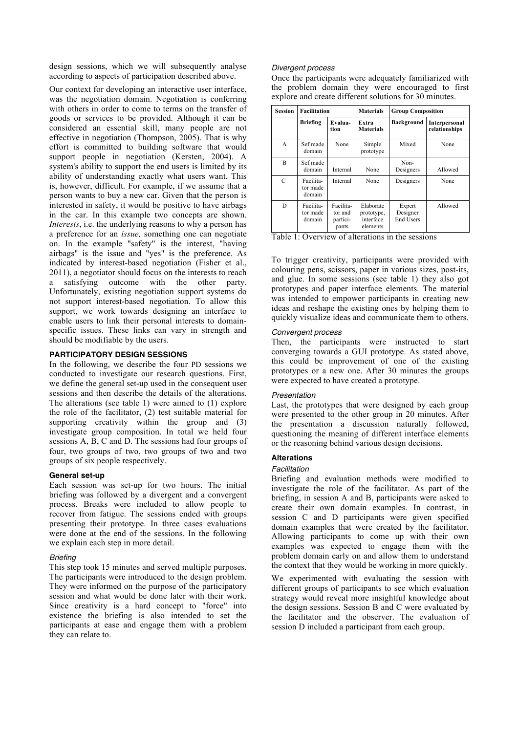design sessions, which we will subsequently analyse according to aspects of participation described above.

Our context for developing an interactive user interface, was the negotiation domain. Negotiation is conferring with others in order to come to terms on the transfer of goods or services to be provided. Although it can be considered an essential skill, many people are not effective in negotiation (Thompson, 2005). That is why effort is committed to building software that would support people in negotiation (Kersten, 2004). A system's ability to support the end users is limited by its ability of understanding exactly what users want. This is, however, difficult. For example, if we assume that a person wants to buy a new car. Given that the person is interested in safety, it would be positive to have airbags in the car. In this example two concepts are shown. *Interests*, i.e. the underlying reasons to why a person has a preference for an *issue,* something one can negotiate on. In the example "safety" is the interest, "having airbags" is the issue and "yes" is the preference. As indicated by interest-based negotiation (Fisher et al., 2011), a negotiator should focus on the interests to reach a satisfying outcome with the other party. Unfortunately, existing negotiation support systems do not support interest-based negotiation. To allow this support, we work towards designing an interface to enable users to link their personal interests to domainspecific issues. These links can vary in strength and should be modifiable by the users.

# **PARTICIPATORY DESIGN SESSIONS**

In the following, we describe the four PD sessions we conducted to investigate our research questions. First, we define the general set-up used in the consequent user sessions and then describe the details of the alterations. The alterations (see table 1) were aimed to (1) explore the role of the facilitator, (2) test suitable material for supporting creativity within the group and (3) investigate group composition. In total we held four sessions A, B, C and D. The sessions had four groups of four, two groups of two, two groups of two and two groups of six people respectively.

### **General set-up**

Each session was set-up for two hours. The initial briefing was followed by a divergent and a convergent process. Breaks were included to allow people to recover from fatigue. The sessions ended with groups presenting their prototype. In three cases evaluations were done at the end of the sessions. In the following we explain each step in more detail.

### *Briefing*

This step took 15 minutes and served multiple purposes. The participants were introduced to the design problem. They were informed on the purpose of the participatory session and what would be done later with their work. Since creativity is a hard concept to "force" into existence the briefing is also intended to set the participants at ease and engage them with a problem they can relate to.

#### *Divergent process*

Once the participants were adequately familiarized with the problem domain they were encouraged to first explore and create different solutions for 30 minutes.

| <b>Session</b> | <b>Facilitation</b>             |                                           | <b>Materials</b>                                 | <b>Group Composition</b>               |                                |
|----------------|---------------------------------|-------------------------------------------|--------------------------------------------------|----------------------------------------|--------------------------------|
|                | <b>Briefing</b>                 | Evalua-<br>tion                           | Extra<br><b>Materials</b>                        | <b>Background</b>                      | Interpersonal<br>relationships |
| $\mathsf{A}$   | Sef made<br>domain              | None                                      | Simple<br>prototype                              | Mixed                                  | None                           |
| B              | Sef made<br>domain              | Internal                                  | None                                             | Non-<br>Designers                      | Allowed                        |
| C              | Facilita-<br>tor made<br>domain | Internal                                  | None                                             | Designers                              | None                           |
| D              | Facilita-<br>tor made<br>domain | Facilita-<br>tor and<br>partici-<br>pants | Elaborate<br>prototype,<br>interface<br>elements | Expert<br>Designer<br><b>End Users</b> | Allowed                        |

Table 1: Overview of alterations in the sessions

To trigger creativity, participants were provided with colouring pens, scissors, paper in various sizes, post-its, and glue. In some sessions (see table 1) they also got prototypes and paper interface elements. The material was intended to empower participants in creating new ideas and reshape the existing ones by helping them to quickly visualize ideas and communicate them to others.

#### *Convergent process*

Then, the participants were instructed to start converging towards a GUI prototype. As stated above, this could be improvement of one of the existing prototypes or a new one. After 30 minutes the groups were expected to have created a prototype.

### *Presentation*

Last, the prototypes that were designed by each group were presented to the other group in 20 minutes. After the presentation a discussion naturally followed, questioning the meaning of different interface elements or the reasoning behind various design decisions.

## **Alterations**

#### *Facilitation*

Briefing and evaluation methods were modified to investigate the role of the facilitator. As part of the briefing, in session A and B, participants were asked to create their own domain examples. In contrast, in session C and D participants were given specified domain examples that were created by the facilitator. Allowing participants to come up with their own examples was expected to engage them with the problem domain early on and allow them to understand the context that they would be working in more quickly.

We experimented with evaluating the session with different groups of participants to see which evaluation strategy would reveal more insightful knowledge about the design sessions. Session B and C were evaluated by the facilitator and the observer. The evaluation of session D included a participant from each group.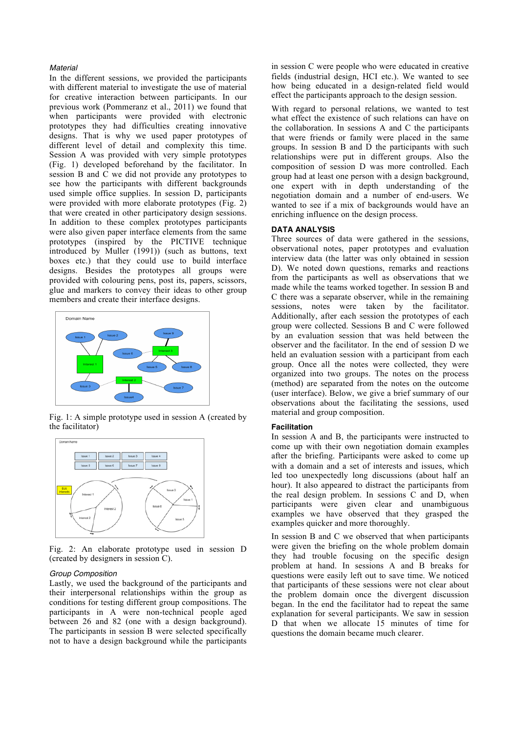#### *Material*

In the different sessions, we provided the participants with different material to investigate the use of material for creative interaction between participants. In our previous work (Pommeranz et al., 2011) we found that when participants were provided with electronic prototypes they had difficulties creating innovative designs. That is why we used paper prototypes of different level of detail and complexity this time. Session A was provided with very simple prototypes (Fig. 1) developed beforehand by the facilitator. In session B and C we did not provide any prototypes to see how the participants with different backgrounds used simple office supplies. In session D, participants were provided with more elaborate prototypes (Fig. 2) that were created in other participatory design sessions. In addition to these complex prototypes participants were also given paper interface elements from the same prototypes (inspired by the PICTIVE technique introduced by Muller (1991)) (such as buttons, text boxes etc.) that they could use to build interface designs. Besides the prototypes all groups were provided with colouring pens, post its, papers, scissors, glue and markers to convey their ideas to other group members and create their interface designs.



Fig. 1: A simple prototype used in session A (created by the facilitator)



Fig. 2: An elaborate prototype used in session D (created by designers in session C).

#### *Group Composition*

Lastly, we used the background of the participants and their interpersonal relationships within the group as conditions for testing different group compositions. The participants in A were non-technical people aged between 26 and 82 (one with a design background). The participants in session B were selected specifically not to have a design background while the participants in session C were people who were educated in creative fields (industrial design, HCI etc.). We wanted to see how being educated in a design-related field would effect the participants approach to the design session.

With regard to personal relations, we wanted to test what effect the existence of such relations can have on the collaboration. In sessions A and C the participants that were friends or family were placed in the same groups. In session B and D the participants with such relationships were put in different groups. Also the composition of session D was more controlled. Each group had at least one person with a design background, one expert with in depth understanding of the negotiation domain and a number of end-users. We wanted to see if a mix of backgrounds would have an enriching influence on the design process.

## **DATA ANALYSIS**

Three sources of data were gathered in the sessions, observational notes, paper prototypes and evaluation interview data (the latter was only obtained in session D). We noted down questions, remarks and reactions from the participants as well as observations that we made while the teams worked together. In session B and C there was a separate observer, while in the remaining sessions, notes were taken by the facilitator. Additionally, after each session the prototypes of each group were collected. Sessions B and C were followed by an evaluation session that was held between the observer and the facilitator. In the end of session D we held an evaluation session with a participant from each group. Once all the notes were collected, they were organized into two groups. The notes on the process (method) are separated from the notes on the outcome (user interface). Below, we give a brief summary of our observations about the facilitating the sessions, used material and group composition.

#### **Facilitation**

In session A and B, the participants were instructed to come up with their own negotiation domain examples after the briefing. Participants were asked to come up with a domain and a set of interests and issues, which led too unexpectedly long discussions (about half an hour). It also appeared to distract the participants from the real design problem. In sessions C and D, when participants were given clear and unambiguous examples we have observed that they grasped the examples quicker and more thoroughly.

In session B and C we observed that when participants were given the briefing on the whole problem domain they had trouble focusing on the specific design problem at hand. In sessions A and B breaks for questions were easily left out to save time. We noticed that participants of these sessions were not clear about the problem domain once the divergent discussion began. In the end the facilitator had to repeat the same explanation for several participants. We saw in session D that when we allocate 15 minutes of time for questions the domain became much clearer.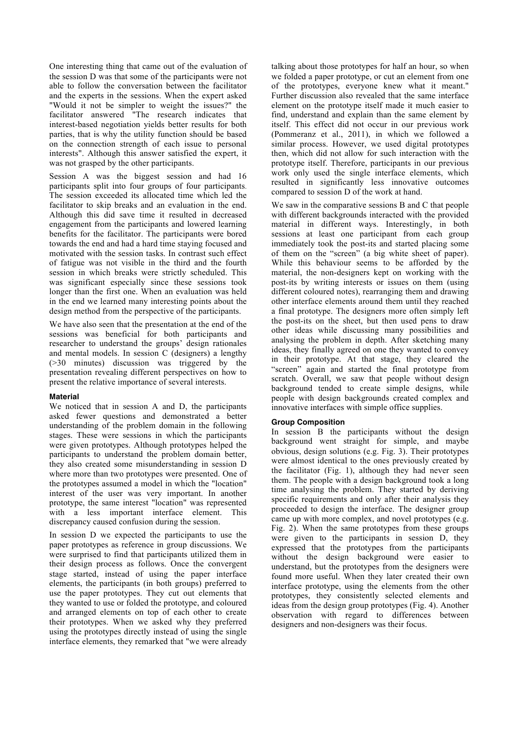One interesting thing that came out of the evaluation of the session D was that some of the participants were not able to follow the conversation between the facilitator and the experts in the sessions. When the expert asked "Would it not be simpler to weight the issues?" the facilitator answered "The research indicates that interest-based negotiation yields better results for both parties, that is why the utility function should be based on the connection strength of each issue to personal interests". Although this answer satisfied the expert, it was not grasped by the other participants.

Session A was the biggest session and had 16 participants split into four groups of four participants. The session exceeded its allocated time which led the facilitator to skip breaks and an evaluation in the end. Although this did save time it resulted in decreased engagement from the participants and lowered learning benefits for the facilitator. The participants were bored towards the end and had a hard time staying focused and motivated with the session tasks. In contrast such effect of fatigue was not visible in the third and the fourth session in which breaks were strictly scheduled. This was significant especially since these sessions took longer than the first one. When an evaluation was held in the end we learned many interesting points about the design method from the perspective of the participants.

We have also seen that the presentation at the end of the sessions was beneficial for both participants and researcher to understand the groups' design rationales and mental models. In session C (designers) a lengthy (>30 minutes) discussion was triggered by the presentation revealing different perspectives on how to present the relative importance of several interests.

### **Material**

We noticed that in session A and D, the participants asked fewer questions and demonstrated a better understanding of the problem domain in the following stages. These were sessions in which the participants were given prototypes. Although prototypes helped the participants to understand the problem domain better, they also created some misunderstanding in session D where more than two prototypes were presented. One of the prototypes assumed a model in which the "location" interest of the user was very important. In another prototype, the same interest "location" was represented with a less important interface element. This discrepancy caused confusion during the session.

In session D we expected the participants to use the paper prototypes as reference in group discussions. We were surprised to find that participants utilized them in their design process as follows. Once the convergent stage started, instead of using the paper interface elements, the participants (in both groups) preferred to use the paper prototypes. They cut out elements that they wanted to use or folded the prototype, and coloured and arranged elements on top of each other to create their prototypes. When we asked why they preferred using the prototypes directly instead of using the single interface elements, they remarked that "we were already talking about those prototypes for half an hour, so when we folded a paper prototype, or cut an element from one of the prototypes, everyone knew what it meant." Further discussion also revealed that the same interface element on the prototype itself made it much easier to find, understand and explain than the same element by itself. This effect did not occur in our previous work (Pommeranz et al., 2011), in which we followed a similar process. However, we used digital prototypes then, which did not allow for such interaction with the prototype itself. Therefore, participants in our previous work only used the single interface elements, which resulted in significantly less innovative outcomes compared to session D of the work at hand.

We saw in the comparative sessions B and C that people with different backgrounds interacted with the provided material in different ways. Interestingly, in both sessions at least one participant from each group immediately took the post-its and started placing some of them on the "screen" (a big white sheet of paper). While this behaviour seems to be afforded by the material, the non-designers kept on working with the post-its by writing interests or issues on them (using different coloured notes), rearranging them and drawing other interface elements around them until they reached a final prototype. The designers more often simply left the post-its on the sheet, but then used pens to draw other ideas while discussing many possibilities and analysing the problem in depth. After sketching many ideas, they finally agreed on one they wanted to convey in their prototype. At that stage, they cleared the "screen" again and started the final prototype from scratch. Overall, we saw that people without design background tended to create simple designs, while people with design backgrounds created complex and innovative interfaces with simple office supplies.

### **Group Composition**

In session B the participants without the design background went straight for simple, and maybe obvious, design solutions (e.g. Fig. 3). Their prototypes were almost identical to the ones previously created by the facilitator (Fig. 1), although they had never seen them. The people with a design background took a long time analysing the problem. They started by deriving specific requirements and only after their analysis they proceeded to design the interface. The designer group came up with more complex, and novel prototypes (e.g. Fig. 2). When the same prototypes from these groups were given to the participants in session D, they expressed that the prototypes from the participants without the design background were easier to understand, but the prototypes from the designers were found more useful. When they later created their own interface prototype, using the elements from the other prototypes, they consistently selected elements and ideas from the design group prototypes (Fig. 4). Another observation with regard to differences between designers and non-designers was their focus.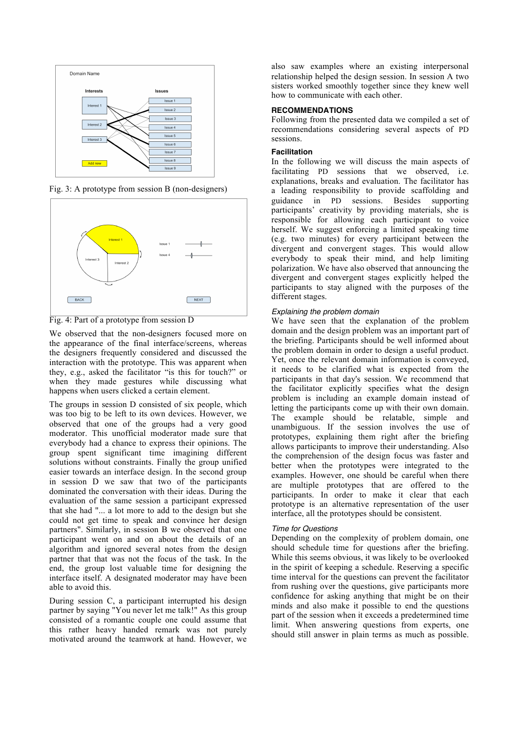

Fig. 3: A prototype from session B (non-designers)



Fig. 4: Part of a prototype from session D

We observed that the non-designers focused more on the appearance of the final interface/screens, whereas the designers frequently considered and discussed the interaction with the prototype. This was apparent when they, e.g., asked the facilitator "is this for touch?" or when they made gestures while discussing what happens when users clicked a certain element.

The groups in session D consisted of six people, which was too big to be left to its own devices. However, we observed that one of the groups had a very good moderator. This unofficial moderator made sure that everybody had a chance to express their opinions. The group spent significant time imagining different solutions without constraints. Finally the group unified easier towards an interface design. In the second group in session D we saw that two of the participants dominated the conversation with their ideas. During the evaluation of the same session a participant expressed that she had "... a lot more to add to the design but she could not get time to speak and convince her design partners". Similarly, in session B we observed that one participant went on and on about the details of an algorithm and ignored several notes from the design partner that that was not the focus of the task. In the end, the group lost valuable time for designing the interface itself. A designated moderator may have been able to avoid this.

During session C, a participant interrupted his design partner by saying "You never let me talk!" As this group consisted of a romantic couple one could assume that this rather heavy handed remark was not purely motivated around the teamwork at hand. However, we also saw examples where an existing interpersonal relationship helped the design session. In session A two sisters worked smoothly together since they knew well how to communicate with each other.

# **RECOMMENDATIONS**

Following from the presented data we compiled a set of recommendations considering several aspects of PD sessions.

# **Facilitation**

In the following we will discuss the main aspects of facilitating PD sessions that we observed, i.e. explanations, breaks and evaluation. The facilitator has a leading responsibility to provide scaffolding and guidance in PD sessions. Besides supporting participants' creativity by providing materials, she is responsible for allowing each participant to voice herself. We suggest enforcing a limited speaking time (e.g. two minutes) for every participant between the divergent and convergent stages. This would allow everybody to speak their mind, and help limiting polarization. We have also observed that announcing the divergent and convergent stages explicitly helped the participants to stay aligned with the purposes of the different stages.

# *Explaining the problem domain*

We have seen that the explanation of the problem domain and the design problem was an important part of the briefing. Participants should be well informed about the problem domain in order to design a useful product. Yet, once the relevant domain information is conveyed, it needs to be clarified what is expected from the participants in that day's session. We recommend that the facilitator explicitly specifies what the design problem is including an example domain instead of letting the participants come up with their own domain. The example should be relatable, simple and unambiguous. If the session involves the use of prototypes, explaining them right after the briefing allows participants to improve their understanding. Also the comprehension of the design focus was faster and better when the prototypes were integrated to the examples. However, one should be careful when there are multiple prototypes that are offered to the participants. In order to make it clear that each prototype is an alternative representation of the user interface, all the prototypes should be consistent.

# *Time for Questions*

Depending on the complexity of problem domain, one should schedule time for questions after the briefing. While this seems obvious, it was likely to be overlooked in the spirit of keeping a schedule. Reserving a specific time interval for the questions can prevent the facilitator from rushing over the questions, give participants more confidence for asking anything that might be on their minds and also make it possible to end the questions part of the session when it exceeds a predetermined time limit. When answering questions from experts, one should still answer in plain terms as much as possible.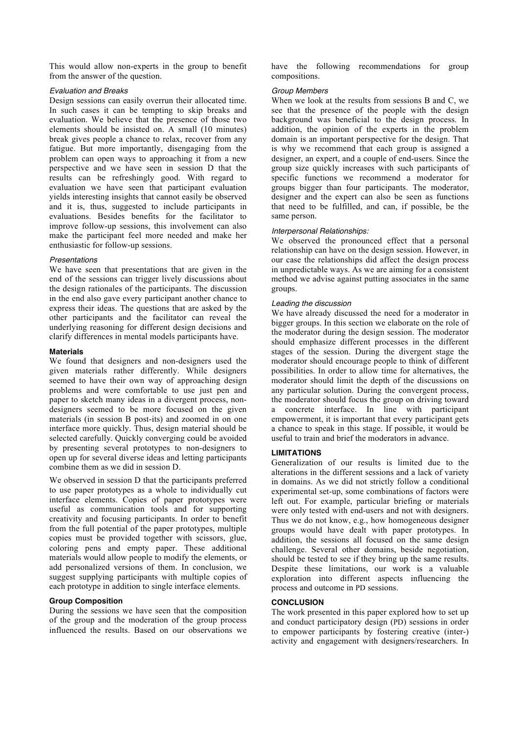This would allow non-experts in the group to benefit from the answer of the question.

# *Evaluation and Breaks*

Design sessions can easily overrun their allocated time. In such cases it can be tempting to skip breaks and evaluation. We believe that the presence of those two elements should be insisted on. A small (10 minutes) break gives people a chance to relax, recover from any fatigue. But more importantly, disengaging from the problem can open ways to approaching it from a new perspective and we have seen in session D that the results can be refreshingly good. With regard to evaluation we have seen that participant evaluation yields interesting insights that cannot easily be observed and it is, thus, suggested to include participants in evaluations. Besides benefits for the facilitator to improve follow-up sessions, this involvement can also make the participant feel more needed and make her enthusiastic for follow-up sessions.

# *Presentations*

We have seen that presentations that are given in the end of the sessions can trigger lively discussions about the design rationales of the participants. The discussion in the end also gave every participant another chance to express their ideas. The questions that are asked by the other participants and the facilitator can reveal the underlying reasoning for different design decisions and clarify differences in mental models participants have.

### **Materials**

We found that designers and non-designers used the given materials rather differently. While designers seemed to have their own way of approaching design problems and were comfortable to use just pen and paper to sketch many ideas in a divergent process, nondesigners seemed to be more focused on the given materials (in session B post-its) and zoomed in on one interface more quickly. Thus, design material should be selected carefully. Quickly converging could be avoided by presenting several prototypes to non-designers to open up for several diverse ideas and letting participants combine them as we did in session D.

We observed in session D that the participants preferred to use paper prototypes as a whole to individually cut interface elements. Copies of paper prototypes were useful as communication tools and for supporting creativity and focusing participants. In order to benefit from the full potential of the paper prototypes, multiple copies must be provided together with scissors, glue, coloring pens and empty paper. These additional materials would allow people to modify the elements, or add personalized versions of them. In conclusion, we suggest supplying participants with multiple copies of each prototype in addition to single interface elements.

## **Group Composition**

During the sessions we have seen that the composition of the group and the moderation of the group process influenced the results. Based on our observations we have the following recommendations for group compositions.

# *Group Members*

When we look at the results from sessions B and C, we see that the presence of the people with the design background was beneficial to the design process. In addition, the opinion of the experts in the problem domain is an important perspective for the design. That is why we recommend that each group is assigned a designer, an expert, and a couple of end-users. Since the group size quickly increases with such participants of specific functions we recommend a moderator for groups bigger than four participants. The moderator, designer and the expert can also be seen as functions that need to be fulfilled, and can, if possible, be the same person.

# *Interpersonal Relationships:*

We observed the pronounced effect that a personal relationship can have on the design session. However, in our case the relationships did affect the design process in unpredictable ways. As we are aiming for a consistent method we advise against putting associates in the same groups.

# *Leading the discussion*

We have already discussed the need for a moderator in bigger groups. In this section we elaborate on the role of the moderator during the design session. The moderator should emphasize different processes in the different stages of the session. During the divergent stage the moderator should encourage people to think of different possibilities. In order to allow time for alternatives, the moderator should limit the depth of the discussions on any particular solution. During the convergent process, the moderator should focus the group on driving toward a concrete interface. In line with participant empowerment, it is important that every participant gets a chance to speak in this stage. If possible, it would be useful to train and brief the moderators in advance.

### **LIMITATIONS**

Generalization of our results is limited due to the alterations in the different sessions and a lack of variety in domains. As we did not strictly follow a conditional experimental set-up, some combinations of factors were left out. For example, particular briefing or materials were only tested with end-users and not with designers. Thus we do not know, e.g., how homogeneous designer groups would have dealt with paper prototypes. In addition, the sessions all focused on the same design challenge. Several other domains, beside negotiation, should be tested to see if they bring up the same results. Despite these limitations, our work is a valuable exploration into different aspects influencing the process and outcome in PD sessions.

# **CONCLUSION**

The work presented in this paper explored how to set up and conduct participatory design (PD) sessions in order to empower participants by fostering creative (inter-) activity and engagement with designers/researchers. In